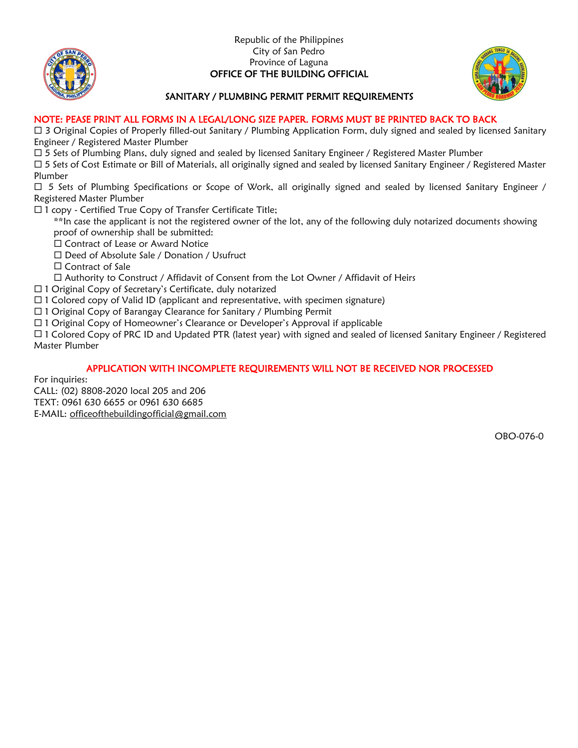



# SANITARY / PLUMBING PERMIT PERMIT REQUIREMENTS

# NOTE: PEASE PRINT ALL FORMS IN A LEGAL/LONG SIZE PAPER. FORMS MUST BE PRINTED BACK TO BACK

 $\Box$  3 Original Copies of Properly filled-out Sanitary / Plumbing Application Form, duly signed and sealed by licensed Sanitary Engineer / Registered Master Plumber

 $\Box$  5 Sets of Plumbing Plans, duly signed and sealed by licensed Sanitary Engineer / Registered Master Plumber

 $\Box$  5 Sets of Cost Estimate or Bill of Materials, all originally signed and sealed by licensed Sanitary Engineer / Registered Master Plumber

 $\Box$  5 Sets of Plumbing Specifications or Scope of Work, all originally signed and sealed by licensed Sanitary Engineer / Registered Master Plumber

 $\Box$  1 copy - Certified True Copy of Transfer Certificate Title;

\*\*In case the applicant is not the registered owner of the lot, any of the following duly notarized documents showing proof of ownership shall be submitted:

□ Contract of Lease or Award Notice

 $\square$  Deed of Absolute Sale / Donation / Usufruct

 $\Box$  Contract of Sale

 $\Box$  Authority to Construct / Affidavit of Consent from the Lot Owner / Affidavit of Heirs

□ 1 Original Copy of Secretary's Certificate, duly notarized

 $\Box$  1 Colored copy of Valid ID (applicant and representative, with specimen signature)

1 Original Copy of Barangay Clearance for Sanitary / Plumbing Permit

1 Original Copy of Homeowner's Clearance or Developer's Approval if applicable

 $\Box$  1 Colored Copy of PRC ID and Updated PTR (latest year) with signed and sealed of licensed Sanitary Engineer / Registered Master Plumber

# APPLICATION WITH INCOMPLETE REQUIREMENTS WILL NOT BE RECEIVED NOR PROCESSED

For inquiries:

CALL: (02) 8808-2020 local 205 and 206 TEXT: 0961 630 6655 or 0961 630 6685 E-MAIL: [officeofthebuildingofficial@gmail.com](mailto:officeofthebuildingofficial@gmail.com)

OBO-076-0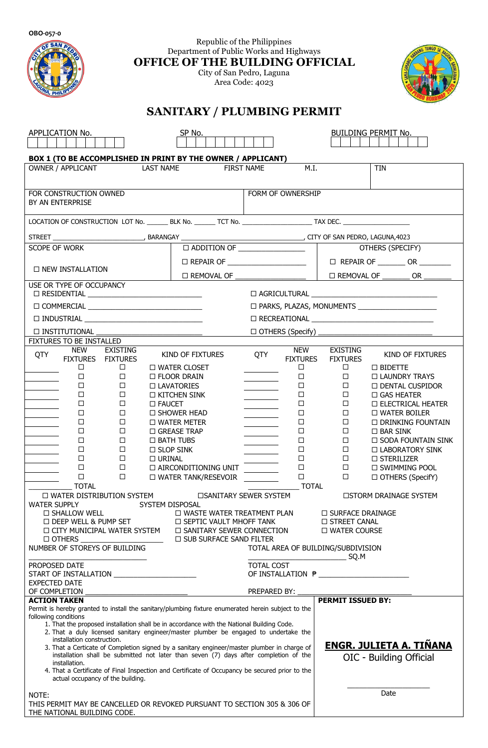|                                                                                                                                                                                                                                                                                                                                                                                                                                                                                                                                 | City of San Pedro, Laguna                                                                                                                                                                                                                                                                                                                                                                                                                                                   | Area Code: 4023                                                                                                                                                                                                                                                                                                                                                                                                                                                                                                                                                                                                                                                                                                                                                                                                                                                             |                                                                                                                                                                                                                                  |                                                                                                                                                                                                                                                                                                                                                                              |
|---------------------------------------------------------------------------------------------------------------------------------------------------------------------------------------------------------------------------------------------------------------------------------------------------------------------------------------------------------------------------------------------------------------------------------------------------------------------------------------------------------------------------------|-----------------------------------------------------------------------------------------------------------------------------------------------------------------------------------------------------------------------------------------------------------------------------------------------------------------------------------------------------------------------------------------------------------------------------------------------------------------------------|-----------------------------------------------------------------------------------------------------------------------------------------------------------------------------------------------------------------------------------------------------------------------------------------------------------------------------------------------------------------------------------------------------------------------------------------------------------------------------------------------------------------------------------------------------------------------------------------------------------------------------------------------------------------------------------------------------------------------------------------------------------------------------------------------------------------------------------------------------------------------------|----------------------------------------------------------------------------------------------------------------------------------------------------------------------------------------------------------------------------------|------------------------------------------------------------------------------------------------------------------------------------------------------------------------------------------------------------------------------------------------------------------------------------------------------------------------------------------------------------------------------|
|                                                                                                                                                                                                                                                                                                                                                                                                                                                                                                                                 | <b>SANITARY / PLUMBING PERMIT</b>                                                                                                                                                                                                                                                                                                                                                                                                                                           |                                                                                                                                                                                                                                                                                                                                                                                                                                                                                                                                                                                                                                                                                                                                                                                                                                                                             |                                                                                                                                                                                                                                  |                                                                                                                                                                                                                                                                                                                                                                              |
| APPLICATION No.                                                                                                                                                                                                                                                                                                                                                                                                                                                                                                                 | SP No.                                                                                                                                                                                                                                                                                                                                                                                                                                                                      |                                                                                                                                                                                                                                                                                                                                                                                                                                                                                                                                                                                                                                                                                                                                                                                                                                                                             |                                                                                                                                                                                                                                  | BUILDING PERMIT No.                                                                                                                                                                                                                                                                                                                                                          |
| BOX 1 (TO BE ACCOMPLISHED IN PRINT BY THE OWNER / APPLICANT)<br>OWNER / APPLICANT                                                                                                                                                                                                                                                                                                                                                                                                                                               | LAST NAME                                                                                                                                                                                                                                                                                                                                                                                                                                                                   | <b>FIRST NAME</b><br>M.I.                                                                                                                                                                                                                                                                                                                                                                                                                                                                                                                                                                                                                                                                                                                                                                                                                                                   |                                                                                                                                                                                                                                  | <b>TIN</b>                                                                                                                                                                                                                                                                                                                                                                   |
| FOR CONSTRUCTION OWNED<br>BY AN ENTERPRISE                                                                                                                                                                                                                                                                                                                                                                                                                                                                                      |                                                                                                                                                                                                                                                                                                                                                                                                                                                                             | FORM OF OWNERSHIP                                                                                                                                                                                                                                                                                                                                                                                                                                                                                                                                                                                                                                                                                                                                                                                                                                                           |                                                                                                                                                                                                                                  |                                                                                                                                                                                                                                                                                                                                                                              |
|                                                                                                                                                                                                                                                                                                                                                                                                                                                                                                                                 |                                                                                                                                                                                                                                                                                                                                                                                                                                                                             |                                                                                                                                                                                                                                                                                                                                                                                                                                                                                                                                                                                                                                                                                                                                                                                                                                                                             |                                                                                                                                                                                                                                  |                                                                                                                                                                                                                                                                                                                                                                              |
|                                                                                                                                                                                                                                                                                                                                                                                                                                                                                                                                 |                                                                                                                                                                                                                                                                                                                                                                                                                                                                             |                                                                                                                                                                                                                                                                                                                                                                                                                                                                                                                                                                                                                                                                                                                                                                                                                                                                             |                                                                                                                                                                                                                                  |                                                                                                                                                                                                                                                                                                                                                                              |
| SCOPE OF WORK                                                                                                                                                                                                                                                                                                                                                                                                                                                                                                                   |                                                                                                                                                                                                                                                                                                                                                                                                                                                                             | $\Box$ ADDITION OF $\_\_\_\_\_\_\_\_\_$                                                                                                                                                                                                                                                                                                                                                                                                                                                                                                                                                                                                                                                                                                                                                                                                                                     |                                                                                                                                                                                                                                  | OTHERS (SPECIFY)                                                                                                                                                                                                                                                                                                                                                             |
|                                                                                                                                                                                                                                                                                                                                                                                                                                                                                                                                 |                                                                                                                                                                                                                                                                                                                                                                                                                                                                             |                                                                                                                                                                                                                                                                                                                                                                                                                                                                                                                                                                                                                                                                                                                                                                                                                                                                             |                                                                                                                                                                                                                                  |                                                                                                                                                                                                                                                                                                                                                                              |
| <b>D NEW INSTALLATION</b>                                                                                                                                                                                                                                                                                                                                                                                                                                                                                                       |                                                                                                                                                                                                                                                                                                                                                                                                                                                                             | $\Box$ REMOVAL OF __________________                                                                                                                                                                                                                                                                                                                                                                                                                                                                                                                                                                                                                                                                                                                                                                                                                                        |                                                                                                                                                                                                                                  | □ REMOVAL OF _________ OR _____                                                                                                                                                                                                                                                                                                                                              |
| USE OR TYPE OF OCCUPANCY<br>$\hfill \Box$ $\hfill \Box$ $\hfill \Box$                                                                                                                                                                                                                                                                                                                                                                                                                                                           |                                                                                                                                                                                                                                                                                                                                                                                                                                                                             |                                                                                                                                                                                                                                                                                                                                                                                                                                                                                                                                                                                                                                                                                                                                                                                                                                                                             |                                                                                                                                                                                                                                  |                                                                                                                                                                                                                                                                                                                                                                              |
| $\square \texttt{COMMERCIAL} \xrightarrow{\hspace*{1.5cm}} \xrightarrow{\hspace*{1.5cm}} \xrightarrow{\hspace*{1.5cm}} \xrightarrow{\hspace*{1.5cm}} \xrightarrow{\hspace*{1.5cm}} \xrightarrow{\hspace*{1.5cm}} \xrightarrow{\hspace*{1.5cm}} \xrightarrow{\hspace*{1.5cm}} \xrightarrow{\hspace*{1.5cm}} \xrightarrow{\hspace*{1.5cm}} \xrightarrow{\hspace*{1.5cm}} \xrightarrow{\hspace*{1.5cm}} \xrightarrow{\hspace*{1.5cm}} \xrightarrow{\hspace*{1.5cm}} \xrightarrow{\hspace*{1.5cm}} \xrightarrow{\hspace*{1.5cm}} \$ |                                                                                                                                                                                                                                                                                                                                                                                                                                                                             |                                                                                                                                                                                                                                                                                                                                                                                                                                                                                                                                                                                                                                                                                                                                                                                                                                                                             |                                                                                                                                                                                                                                  |                                                                                                                                                                                                                                                                                                                                                                              |
| $\square \text{ INDUSTRIAL} \begin{picture}(20,5) \put(0,0){\dashbox{0.5}(5,0){\dashbox{0.5}(5,0){10}} \put(15,0){\dashbox{0.5}(5,0){10}} \put(15,0){\dashbox{0.5}(5,0){10}} \put(15,0){\dashbox{0.5}(5,0){10}} \put(15,0){\dashbox{0.5}(5,0){10}} \put(15,0){\dashbox{0.5}(5,0){10}} \put(15,0){\dashbox{0.5}(5,0){10}} \put(15,0){\dashbox{0.5}(5,0){10}} \put(15$                                                                                                                                                            |                                                                                                                                                                                                                                                                                                                                                                                                                                                                             |                                                                                                                                                                                                                                                                                                                                                                                                                                                                                                                                                                                                                                                                                                                                                                                                                                                                             |                                                                                                                                                                                                                                  | $\hfill \Box$ $\hfill \Box$ $\hfill \Box$                                                                                                                                                                                                                                                                                                                                    |
|                                                                                                                                                                                                                                                                                                                                                                                                                                                                                                                                 |                                                                                                                                                                                                                                                                                                                                                                                                                                                                             |                                                                                                                                                                                                                                                                                                                                                                                                                                                                                                                                                                                                                                                                                                                                                                                                                                                                             |                                                                                                                                                                                                                                  |                                                                                                                                                                                                                                                                                                                                                                              |
| FIXTURES TO BE INSTALLED                                                                                                                                                                                                                                                                                                                                                                                                                                                                                                        |                                                                                                                                                                                                                                                                                                                                                                                                                                                                             |                                                                                                                                                                                                                                                                                                                                                                                                                                                                                                                                                                                                                                                                                                                                                                                                                                                                             |                                                                                                                                                                                                                                  |                                                                                                                                                                                                                                                                                                                                                                              |
| <b>EXISTING</b><br><b>NEW</b><br>QTY<br>FIXTURES FIXTURES<br>$\Box$<br>$\Box$<br>$\Box$<br>$\Box$<br>$\Box$<br>$\Box$<br>$\Box$<br>$\Box$<br>$\Box$<br>$\Box$<br>$\Box$<br>$\Box$<br>$\Box$<br>$\Box$<br>$\Box$<br>□<br>□<br>□<br>$\Box$<br>$\Box$<br>$\Box$<br>$\Box$<br>$\Box$<br>$\Box$<br>$\Box$<br>$\Box$<br><b>TOTAL</b><br><b>D WATER DISTRIBUTION SYSTEM</b><br><b>WATER SUPPLY</b><br>□ SHALLOW WELL<br>□ DEEP WELL & PUMP SET<br><b>D CITY MUNICIPAL WATER SYSTEM</b><br>□ OTHERS                                     | KIND OF FIXTURES<br>$\Box$ WATER CLOSET<br>□ FLOOR DRAIN<br><b>D LAVATORIES</b><br>$\Box$ KITCHEN SINK<br><b>D FAUCET</b><br>□ SHOWER HEAD<br>□ WATER METER<br>$\Box$ GREASE TRAP<br>$\square$ BATH TUBS<br>$\Box$ SLOP SINK<br>$\Box$ URINAL<br>$\Box$ AIRCONDITIONING UNIT<br>□ WATER TANK/RESEVOIR<br>SYSTEM DISPOSAL<br><b>D WASTE WATER TREATMENT PLAN</b><br>□ SEPTIC VAULT MHOFF TANK<br>□ SANITARY SEWER CONNECTION<br>□ SUB SURFACE SAND FILTER                    | <b>NEW</b><br>QTY<br><b>FIXTURES</b><br>$\Box$<br>$\Box$<br>$\overline{\phantom{a}}$<br>$\Box$<br>$\begin{tabular}{ c c c c } \hline \quad \quad & \quad \quad & \quad \quad \\ \hline \quad \quad & \quad \quad & \quad \quad \\ \hline \quad \quad & \quad \quad & \quad \quad \\ \hline \quad \quad & \quad \quad & \quad \quad \\ \hline \quad \quad & \quad \quad & \quad \quad \\ \hline \quad \quad & \quad \quad & \quad \quad \\ \hline \end{tabular}$<br>$\Box$<br>$\Box$<br>$\begin{tabular}{ c c c } \hline \quad \quad & \quad \quad & \quad \quad \\ \hline \quad \quad & \quad \quad & \quad \quad \\ \hline \quad \quad & \quad \quad & \quad \quad \\ \hline \quad \quad & \quad \quad & \quad \quad \\ \hline \end{tabular}$<br>$\Box$<br>$\Box$<br>$\Box$<br>□<br>$\Box$<br>$\Box$<br>$\Box$<br>$\Box$<br><b>TOTAL</b><br><b>CISANITARY SEWER SYSTEM</b> | <b>EXISTING</b><br><b>FIXTURES</b><br>$\Box$<br>$\Box$<br>$\Box$<br>$\Box$<br>$\Box$<br>$\Box$<br>$\Box$<br>$\Box$<br>□<br>$\Box$<br>$\Box$<br>$\Box$<br>$\Box$<br>□ SURFACE DRAINAGE<br>□ STREET CANAL<br><b>D WATER COURSE</b> | <b>KIND OF FIXTURES</b><br>$\square$ BIDETTE<br><b>DILAUNDRY TRAYS</b><br><b>ID DENTAL CUSPIDOR</b><br>□ GAS HEATER<br><b>D ELECTRICAL HEATER</b><br><b>D WATER BOILER</b><br><b>DRINKING FOUNTAIN</b><br>$\square$ bar sink<br>□ SODA FOUNTAIN SINK<br>□ LABORATORY SINK<br>$\square$ STERILIZER<br>□ SWIMMING POOL<br>□ OTHERS (SpecifY)<br><b>INSTORM DRAINAGE SYSTEM</b> |
| NUMBER OF STOREYS OF BUILDING                                                                                                                                                                                                                                                                                                                                                                                                                                                                                                   |                                                                                                                                                                                                                                                                                                                                                                                                                                                                             | TOTAL AREA OF BUILDING/SUBDIVISION<br>SQ.M                                                                                                                                                                                                                                                                                                                                                                                                                                                                                                                                                                                                                                                                                                                                                                                                                                  |                                                                                                                                                                                                                                  |                                                                                                                                                                                                                                                                                                                                                                              |
| PROPOSED DATE                                                                                                                                                                                                                                                                                                                                                                                                                                                                                                                   |                                                                                                                                                                                                                                                                                                                                                                                                                                                                             | <b>TOTAL COST</b><br>OF INSTALLATION P                                                                                                                                                                                                                                                                                                                                                                                                                                                                                                                                                                                                                                                                                                                                                                                                                                      |                                                                                                                                                                                                                                  |                                                                                                                                                                                                                                                                                                                                                                              |
| <b>EXPECTED DATE</b><br>OF COMPLETION                                                                                                                                                                                                                                                                                                                                                                                                                                                                                           | <u> 1989 - Johann John Harry Harry Harry Harry Harry Harry Harry Harry Harry Harry Harry Harry Harry Harry Harry H</u>                                                                                                                                                                                                                                                                                                                                                      | PREPARED BY:                                                                                                                                                                                                                                                                                                                                                                                                                                                                                                                                                                                                                                                                                                                                                                                                                                                                |                                                                                                                                                                                                                                  |                                                                                                                                                                                                                                                                                                                                                                              |
| <b>ACTION TAKEN</b>                                                                                                                                                                                                                                                                                                                                                                                                                                                                                                             |                                                                                                                                                                                                                                                                                                                                                                                                                                                                             |                                                                                                                                                                                                                                                                                                                                                                                                                                                                                                                                                                                                                                                                                                                                                                                                                                                                             | <b>PERMIT ISSUED BY:</b>                                                                                                                                                                                                         |                                                                                                                                                                                                                                                                                                                                                                              |
| Permit is hereby granted to install the sanitary/plumbing fixture enumerated herein subject to the<br>following conditions<br>installation construction.<br>installation.<br>actual occupancy of the building.                                                                                                                                                                                                                                                                                                                  | 1. That the proposed installation shall be in accordance with the National Building Code.<br>2. That a duly licensed sanitary engineer/master plumber be engaged to undertake the<br>3. That a Certicate of Completion signed by a sanitary engineer/master plumber in charge of<br>installation shall be submitted not later than seven (7) days after completion of the<br>4. That a Certificate of Final Inspection and Certificate of Occupancy be secured prior to the |                                                                                                                                                                                                                                                                                                                                                                                                                                                                                                                                                                                                                                                                                                                                                                                                                                                                             |                                                                                                                                                                                                                                  | <b>ENGR. JULIETA A. TINANA</b><br>OIC - Building Official                                                                                                                                                                                                                                                                                                                    |
| NOTE:<br>THIS PERMIT MAY BE CANCELLED OR REVOKED PURSUANT TO SECTION 305 & 306 OF<br>THE NATIONAL BUILDING CODE.                                                                                                                                                                                                                                                                                                                                                                                                                |                                                                                                                                                                                                                                                                                                                                                                                                                                                                             |                                                                                                                                                                                                                                                                                                                                                                                                                                                                                                                                                                                                                                                                                                                                                                                                                                                                             |                                                                                                                                                                                                                                  | Date                                                                                                                                                                                                                                                                                                                                                                         |

Republic of the Philippines Department of Public Works and Highways

**OFFICE OF THE BUILDING OFFICIAL**

**OBO-057-0**

OF SAN